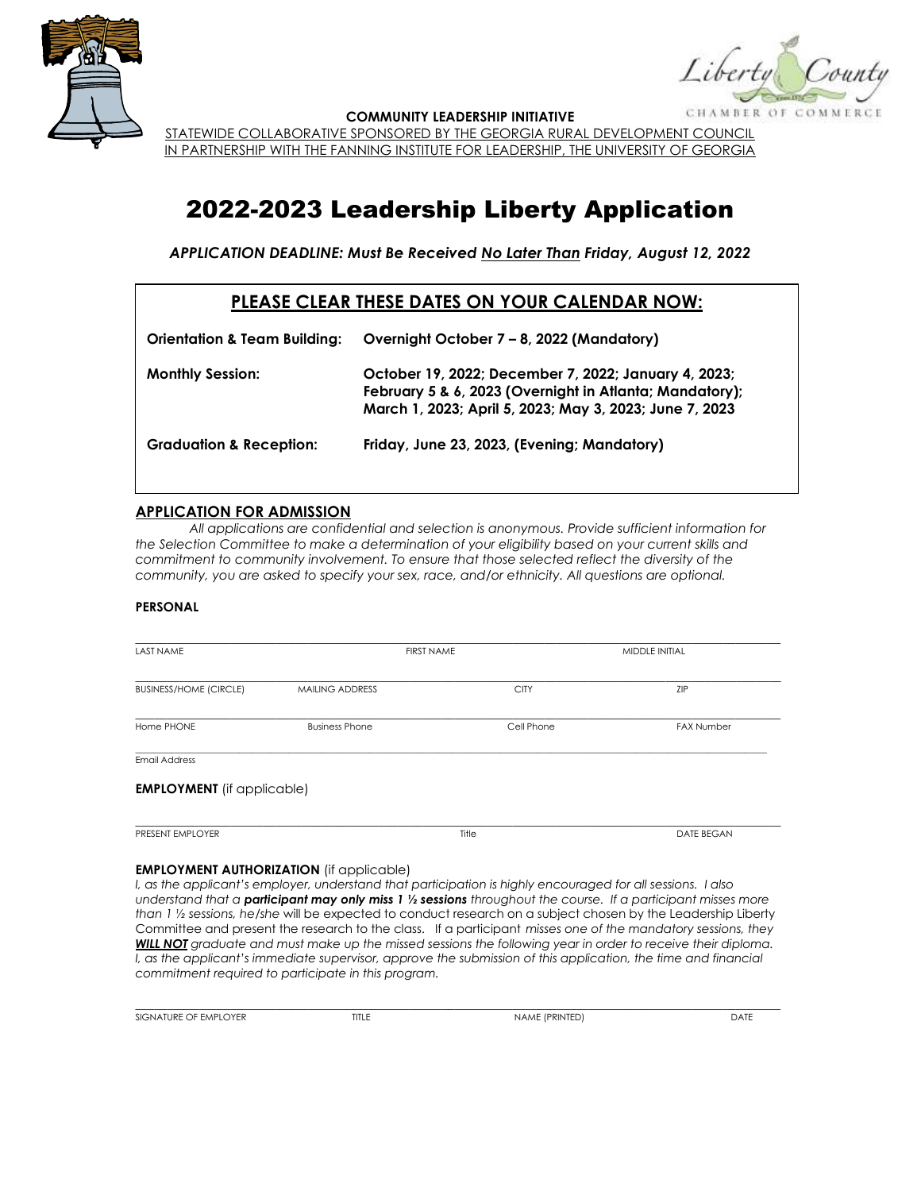

CHAMBER OF

**COMMUNITY LEADERSHIP INITIATIVE**

STATEWIDE COLLABORATIVE SPONSORED BY THE GEORGIA RURAL DEVELOPMENT COUNCIL IN PARTNERSHIP WITH THE FANNING INSTITUTE FOR LEADERSHIP, THE UNIVERSITY OF GEORGIA

# 2022-2023 Leadership Liberty Application

*APPLICATION DEADLINE: Must Be Received No Later Than Friday, August 12, 2022*

## **PLEASE CLEAR THESE DATES ON YOUR CALENDAR NOW:**

| <b>Orientation &amp; Team Building:</b> | Overnight October 7 - 8, 2022 (Mandatory)                                                                                                                                  |
|-----------------------------------------|----------------------------------------------------------------------------------------------------------------------------------------------------------------------------|
| <b>Monthly Session:</b>                 | October 19, 2022; December 7, 2022; January 4, 2023;<br>February 5 & 6, 2023 (Overnight in Atlanta; Mandatory);<br>March 1, 2023; April 5, 2023; May 3, 2023; June 7, 2023 |
| <b>Graduation &amp; Reception:</b>      | Friday, June 23, 2023, (Evening; Mandatory)                                                                                                                                |

#### **APPLICATION FOR ADMISSION**

*All applications are confidential and selection is anonymous. Provide sufficient information for the Selection Committee to make a determination of your eligibility based on your current skills and commitment to community involvement. To ensure that those selected reflect the diversity of the community, you are asked to specify your sex, race, and/or ethnicity. All questions are optional.*

#### **PERSONAL**

| <b>LAST NAME</b>                  |                        | <b>FIRST NAME</b> | MIDDLE INITIAL    |
|-----------------------------------|------------------------|-------------------|-------------------|
| <b>BUSINESS/HOME (CIRCLE)</b>     | <b>MAILING ADDRESS</b> | <b>CITY</b>       | ZIP               |
| Home PHONE                        | <b>Business Phone</b>  | Cell Phone        | <b>FAX Number</b> |
| <b>Email Address</b>              |                        |                   |                   |
| <b>EMPLOYMENT</b> (if applicable) |                        |                   |                   |
| PRESENT EMPLOYER                  |                        | Title             | <b>DATE BEGAN</b> |

#### **EMPLOYMENT AUTHORIZATION** (if applicable)

*I, as the applicant's employer, understand that participation is highly encouraged for all sessions. I also understand that a participant may only miss 1 ½ sessions throughout the course. If a participant misses more than 1 ½ sessions, he/she* will be expected to conduct research on a subject chosen by the Leadership Liberty Committee and present the research to the class. If a participant *misses one of the mandatory sessions, they WILL NOT graduate and must make up the missed sessions the following year in order to receive their diploma. I, as the applicant's immediate supervisor, approve the submission of this application, the time and financial commitment required to participate in this program.*

\_\_\_\_\_\_\_\_\_\_\_\_\_\_\_\_\_\_\_\_\_\_\_\_\_\_\_\_\_\_\_\_\_\_\_\_\_\_\_\_\_\_\_\_\_\_\_\_\_\_\_\_\_\_\_\_\_\_\_\_\_\_\_\_\_\_\_\_\_\_\_\_\_\_\_\_\_\_\_\_\_\_\_\_\_\_\_\_\_\_\_\_\_\_\_\_\_\_\_\_\_ **SIGNATURE OF EMPLOYER** TITLE NAME (PRINTED) DATE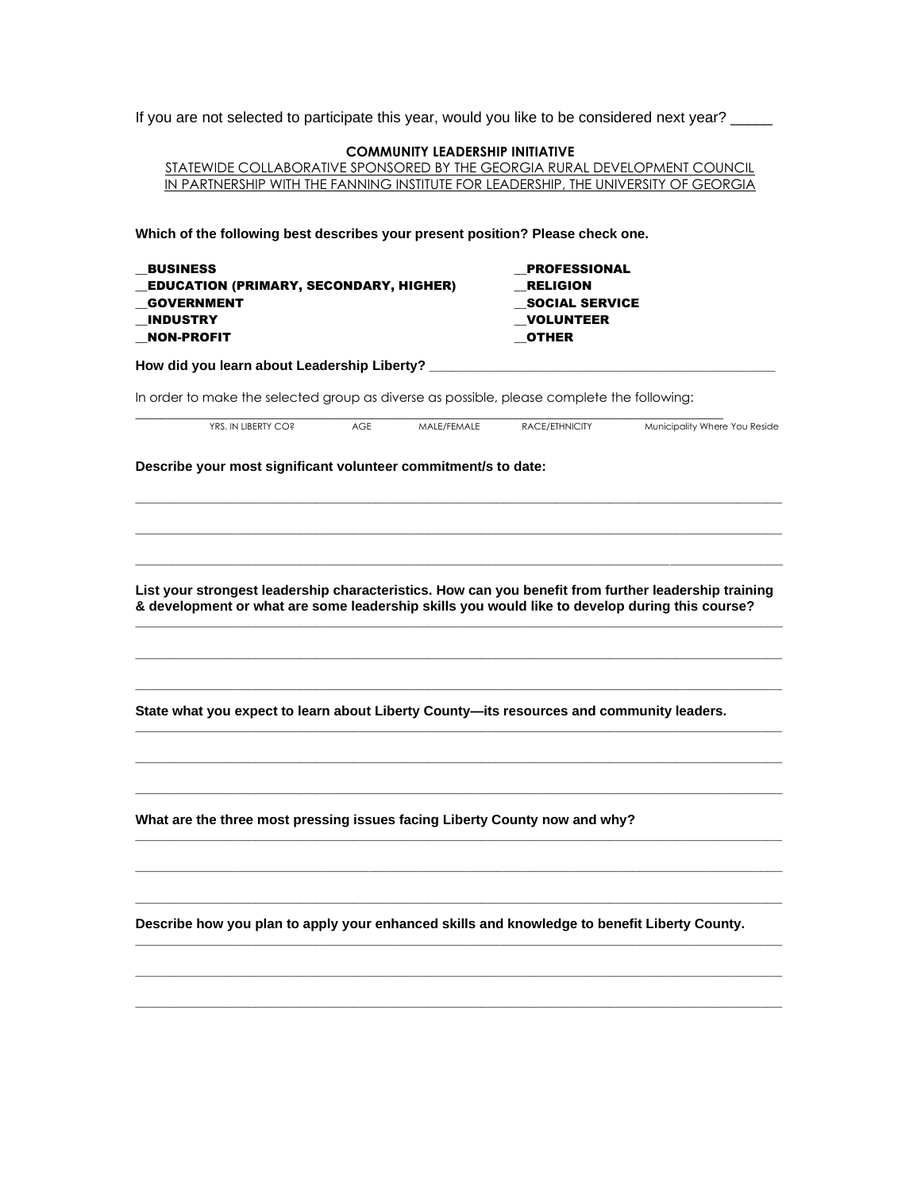|  | If you are not selected to participate this year, would you like to be considered next year? |  |
|--|----------------------------------------------------------------------------------------------|--|
|--|----------------------------------------------------------------------------------------------|--|

| <b>COMMUNITY LEADERSHIP INITIATIVE</b>                                     |
|----------------------------------------------------------------------------|
| STATEWIDE COLLABORATIVE SPONSORED BY THE GEORGIA RURAL DEVELOPMENT COUNCIL |
|                                                                            |

IN PARTNERSHIP WITH THE FANNING INSTITUTE FOR LEADERSHIP, THE UNIVERSITY OF GEORGIA

**Which of the following best describes your present position? Please check one.**

| <b>RELIGION</b><br><b>SOCIAL SERVICE</b><br><b>VOLUNTEER</b><br><b>OTHER</b><br>In order to make the selected group as diverse as possible, please complete the following:<br>RACE/ETHNICITY<br>Describe your most significant volunteer commitment/s to date: | Municipality Where You Reside                                                                                                                                                                                                                                                                                                                                            |
|----------------------------------------------------------------------------------------------------------------------------------------------------------------------------------------------------------------------------------------------------------------|--------------------------------------------------------------------------------------------------------------------------------------------------------------------------------------------------------------------------------------------------------------------------------------------------------------------------------------------------------------------------|
|                                                                                                                                                                                                                                                                |                                                                                                                                                                                                                                                                                                                                                                          |
|                                                                                                                                                                                                                                                                |                                                                                                                                                                                                                                                                                                                                                                          |
|                                                                                                                                                                                                                                                                |                                                                                                                                                                                                                                                                                                                                                                          |
|                                                                                                                                                                                                                                                                |                                                                                                                                                                                                                                                                                                                                                                          |
|                                                                                                                                                                                                                                                                |                                                                                                                                                                                                                                                                                                                                                                          |
|                                                                                                                                                                                                                                                                |                                                                                                                                                                                                                                                                                                                                                                          |
|                                                                                                                                                                                                                                                                |                                                                                                                                                                                                                                                                                                                                                                          |
|                                                                                                                                                                                                                                                                |                                                                                                                                                                                                                                                                                                                                                                          |
|                                                                                                                                                                                                                                                                |                                                                                                                                                                                                                                                                                                                                                                          |
|                                                                                                                                                                                                                                                                | List your strongest leadership characteristics. How can you benefit from further leadership training                                                                                                                                                                                                                                                                     |
|                                                                                                                                                                                                                                                                |                                                                                                                                                                                                                                                                                                                                                                          |
|                                                                                                                                                                                                                                                                |                                                                                                                                                                                                                                                                                                                                                                          |
|                                                                                                                                                                                                                                                                |                                                                                                                                                                                                                                                                                                                                                                          |
|                                                                                                                                                                                                                                                                |                                                                                                                                                                                                                                                                                                                                                                          |
|                                                                                                                                                                                                                                                                |                                                                                                                                                                                                                                                                                                                                                                          |
|                                                                                                                                                                                                                                                                |                                                                                                                                                                                                                                                                                                                                                                          |
|                                                                                                                                                                                                                                                                |                                                                                                                                                                                                                                                                                                                                                                          |
|                                                                                                                                                                                                                                                                |                                                                                                                                                                                                                                                                                                                                                                          |
|                                                                                                                                                                                                                                                                |                                                                                                                                                                                                                                                                                                                                                                          |
|                                                                                                                                                                                                                                                                |                                                                                                                                                                                                                                                                                                                                                                          |
|                                                                                                                                                                                                                                                                | & development or what are some leadership skills you would like to develop during this course?<br>State what you expect to learn about Liberty County-its resources and community leaders.<br>What are the three most pressing issues facing Liberty County now and why?<br>Describe how you plan to apply your enhanced skills and knowledge to benefit Liberty County. |